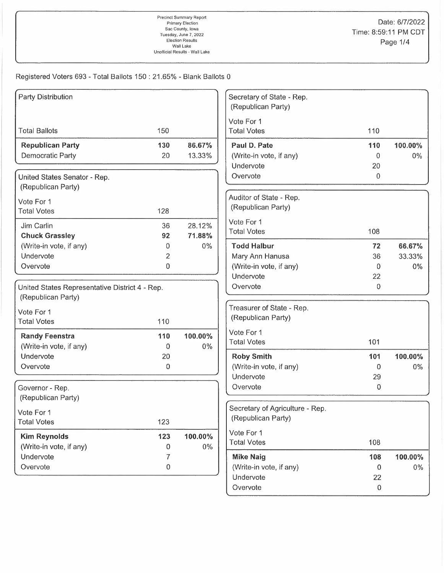| <b>Party Distribution</b>                      |                   | Secretary of State - Rep.<br>(Republican Party) |     |         |
|------------------------------------------------|-------------------|-------------------------------------------------|-----|---------|
|                                                |                   |                                                 |     |         |
|                                                |                   | Vote For 1                                      |     |         |
| <b>Total Ballots</b><br>150                    |                   | <b>Total Votes</b>                              | 110 |         |
| <b>Republican Party</b><br>130                 | 86.67%            | Paul D. Pate                                    | 110 | 100.00% |
| Democratic Party<br>20                         | 13.33%            | (Write-in vote, if any)                         | 0   | $0\%$   |
|                                                |                   | Undervote                                       | 20  |         |
| United States Senator - Rep.                   |                   | Overvote                                        | 0   |         |
| (Republican Party)                             |                   |                                                 |     |         |
| Vote For 1                                     |                   | Auditor of State - Rep.                         |     |         |
| <b>Total Votes</b><br>128                      |                   | (Republican Party)                              |     |         |
| Jim Carlin<br>36                               | 28.12%            | Vote For 1                                      |     |         |
| <b>Chuck Grassley</b><br>92                    | 71.88%            | <b>Total Votes</b>                              | 108 |         |
| (Write-in vote, if any)                        | $0\%$<br>0        | <b>Todd Halbur</b>                              | 72  | 66.67%  |
| Undervote                                      | 2                 | Mary Ann Hanusa                                 | 36  | 33.33%  |
| Overvote                                       | 0                 | (Write-in vote, if any)                         | 0   | $0\%$   |
|                                                |                   | Undervote                                       | 22  |         |
| United States Representative District 4 - Rep. |                   | Overvote                                        | 0   |         |
| (Republican Party)                             |                   |                                                 |     |         |
| Vote For 1                                     |                   | Treasurer of State - Rep.                       |     |         |
| <b>Total Votes</b><br>110                      |                   | (Republican Party)                              |     |         |
| <b>Randy Feenstra</b><br>110                   | 100.00%           | Vote For 1                                      |     |         |
| (Write-in vote, if any)                        | $0\%$<br>$\Omega$ | <b>Total Votes</b>                              | 101 |         |
| Undervote<br>20                                |                   | <b>Roby Smith</b>                               | 101 | 100.00% |
| Overvote                                       | 0                 | (Write-in vote, if any)                         | 0   | $0\%$   |
|                                                |                   | Undervote                                       | 29  |         |
| Governor - Rep.                                |                   | Overvote                                        | 0   |         |
| (Republican Party)                             |                   |                                                 |     |         |
| Vote For 1                                     |                   | Secretary of Agriculture - Rep.                 |     |         |
| <b>Total Votes</b><br>123                      |                   | (Republican Party)                              |     |         |
| <b>Kim Reynolds</b><br>123                     | 100.00%           | Vote For 1                                      |     |         |
| (Write-in vote, if any)                        | 0%<br>0           | <b>Total Votes</b>                              | 108 |         |
| Undervote                                      | 7                 | <b>Mike Naig</b>                                | 108 | 100.00% |
| Overvote                                       | 0                 | (Write-in vote, if any)                         | 0   | $0\%$   |
|                                                |                   | Undervote                                       | 22  |         |
|                                                |                   | Overvote                                        | 0   |         |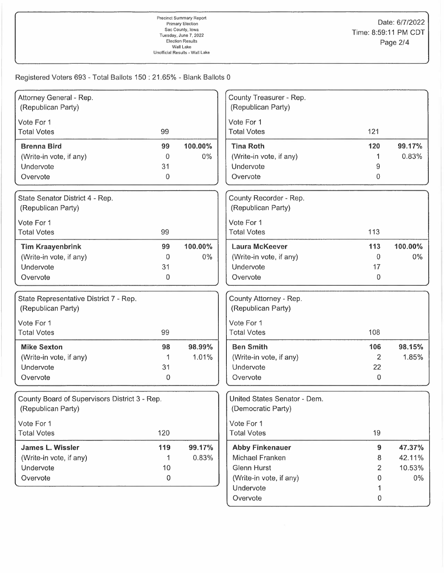| Attorney General - Rep.                       |             |         | County Treasurer - Rep.      |                |         |
|-----------------------------------------------|-------------|---------|------------------------------|----------------|---------|
| (Republican Party)                            |             |         | (Republican Party)           |                |         |
| Vote For 1                                    |             |         | Vote For 1                   |                |         |
| <b>Total Votes</b>                            | 99          |         | <b>Total Votes</b>           | 121            |         |
| <b>Brenna Bird</b>                            | 99          | 100.00% | <b>Tina Roth</b>             | 120            | 99.17%  |
| (Write-in vote, if any)                       | $\Omega$    | 0%      | (Write-in vote, if any)      |                | 0.83%   |
| Undervote                                     | 31          |         | Undervote                    | 9              |         |
| Overvote                                      | $\Omega$    |         | Overvote                     | 0              |         |
| State Senator District 4 - Rep.               |             |         | County Recorder - Rep.       |                |         |
| (Republican Party)                            |             |         | (Republican Party)           |                |         |
| Vote For 1                                    |             |         | Vote For 1                   |                |         |
| <b>Total Votes</b>                            | 99          |         | <b>Total Votes</b>           | 113            |         |
| <b>Tim Kraayenbrink</b>                       | 99          | 100.00% | <b>Laura McKeever</b>        | 113            | 100.00% |
| (Write-in vote, if any)                       | 0           | 0%      | (Write-in vote, if any)      | $\Omega$       | $0\%$   |
| Undervote                                     | 31          |         | Undervote                    | 17             |         |
| Overvote                                      | $\mathbf 0$ |         | Overvote                     | 0              |         |
| State Representative District 7 - Rep.        |             |         | County Attorney - Rep.       |                |         |
| (Republican Party)                            |             |         | (Republican Party)           |                |         |
| Vote For 1                                    |             |         | Vote For 1                   |                |         |
| <b>Total Votes</b>                            | 99          |         | <b>Total Votes</b>           | 108            |         |
|                                               |             |         |                              |                |         |
| <b>Mike Sexton</b>                            | 98          | 98.99%  | <b>Ben Smith</b>             | 106            | 98.15%  |
| (Write-in vote, if any)                       |             | 1.01%   | (Write-in vote, if any)      | $\mathbf{2}$   | 1.85%   |
| Undervote                                     | 31          |         | Undervote                    | 22             |         |
| Overvote                                      | 0           |         | Overvote                     | 0              |         |
| County Board of Supervisors District 3 - Rep. |             |         | United States Senator - Dem. |                |         |
| (Republican Party)                            |             |         | (Democratic Party)           |                |         |
| Vote For 1                                    |             |         | Vote For 1                   |                |         |
| <b>Total Votes</b>                            | 120         |         | <b>Total Votes</b>           | 19             |         |
| James L. Wissler                              | 119         | 99.17%  | <b>Abby Finkenauer</b>       | $\overline{9}$ | 47.37%  |
| (Write-in vote, if any)                       |             | 0.83%   | Michael Franken              | 8              | 42.11%  |
| Undervote                                     | 10          |         | <b>Glenn Hurst</b>           | 2              | 10.53%  |
| Overvote                                      | 0           |         | (Write-in vote, if any)      | 0              | $0\%$   |
|                                               |             |         | Undervote                    | 1              |         |
|                                               |             |         | Overvote                     | 0              |         |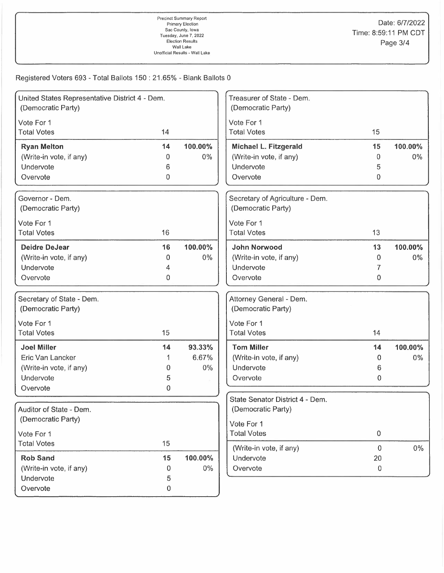| United States Representative District 4 - Dem.<br>(Democratic Party) |                  |         | Treasurer of State - Dem.<br>(Democratic Party) |                |         |
|----------------------------------------------------------------------|------------------|---------|-------------------------------------------------|----------------|---------|
| Vote For 1                                                           |                  |         | Vote For 1                                      |                |         |
| <b>Total Votes</b>                                                   | 14               |         | <b>Total Votes</b>                              | 15             |         |
| <b>Ryan Melton</b>                                                   | 14               | 100.00% | Michael L. Fitzgerald                           | 15             | 100.00% |
| (Write-in vote, if any)                                              | 0                | 0%      | (Write-in vote, if any)                         | $\overline{0}$ | $0\%$   |
| Undervote                                                            | 6                |         | Undervote                                       | 5              |         |
| Overvote                                                             | 0                |         | Overvote                                        | 0              |         |
| Governor - Dem.                                                      |                  |         | Secretary of Agriculture - Dem.                 |                |         |
| (Democratic Party)                                                   |                  |         | (Democratic Party)                              |                |         |
| Vote For 1                                                           |                  |         | Vote For 1                                      |                |         |
| <b>Total Votes</b>                                                   | 16               |         | <b>Total Votes</b>                              | 13             |         |
| <b>Deidre DeJear</b>                                                 | 16               | 100.00% | <b>John Norwood</b>                             | 13             | 100.00% |
| (Write-in vote, if any)                                              | $\Omega$         | $0\%$   | (Write-in vote, if any)                         | 0              | $0\%$   |
| Undervote                                                            | 4                |         | Undervote                                       | 7              |         |
| Overvote                                                             | 0                |         | Overvote                                        | 0              |         |
| Secretary of State - Dem.<br>(Democratic Party)                      |                  |         | Attorney General - Dem.<br>(Democratic Party)   |                |         |
| Vote For 1                                                           |                  |         | Vote For 1                                      |                |         |
| <b>Total Votes</b>                                                   | 15               |         | <b>Total Votes</b>                              | 14             |         |
| <b>Joel Miller</b>                                                   | 14               | 93.33%  | <b>Tom Miller</b>                               | 14             | 100.00% |
| Eric Van Lancker                                                     |                  | 6.67%   | (Write-in vote, if any)                         | 0              | $0\%$   |
| (Write-in vote, if any)                                              | 0                | $0\%$   | Undervote                                       | 6              |         |
| Undervote                                                            | 5                |         | Overvote                                        | 0              |         |
| Overvote                                                             | 0                |         |                                                 |                |         |
|                                                                      |                  |         | State Senator District 4 - Dem.                 |                |         |
| Auditor of State - Dem.                                              |                  |         | (Democratic Party)                              |                |         |
| (Democratic Party)                                                   |                  |         | Vote For 1                                      |                |         |
| Vote For 1                                                           |                  |         | <b>Total Votes</b>                              | $\overline{0}$ |         |
| <b>Total Votes</b>                                                   | 15               |         | (Write-in vote, if any)                         | $\overline{0}$ | $0\%$   |
| <b>Rob Sand</b>                                                      | 15               | 100.00% | Undervote                                       | 20             |         |
| (Write-in vote, if any)                                              | 0                | $0\%$   | Overvote                                        | $\pmb{0}$      |         |
| Undervote                                                            | 5                |         |                                                 |                |         |
| Overvote                                                             | $\boldsymbol{0}$ |         |                                                 |                |         |